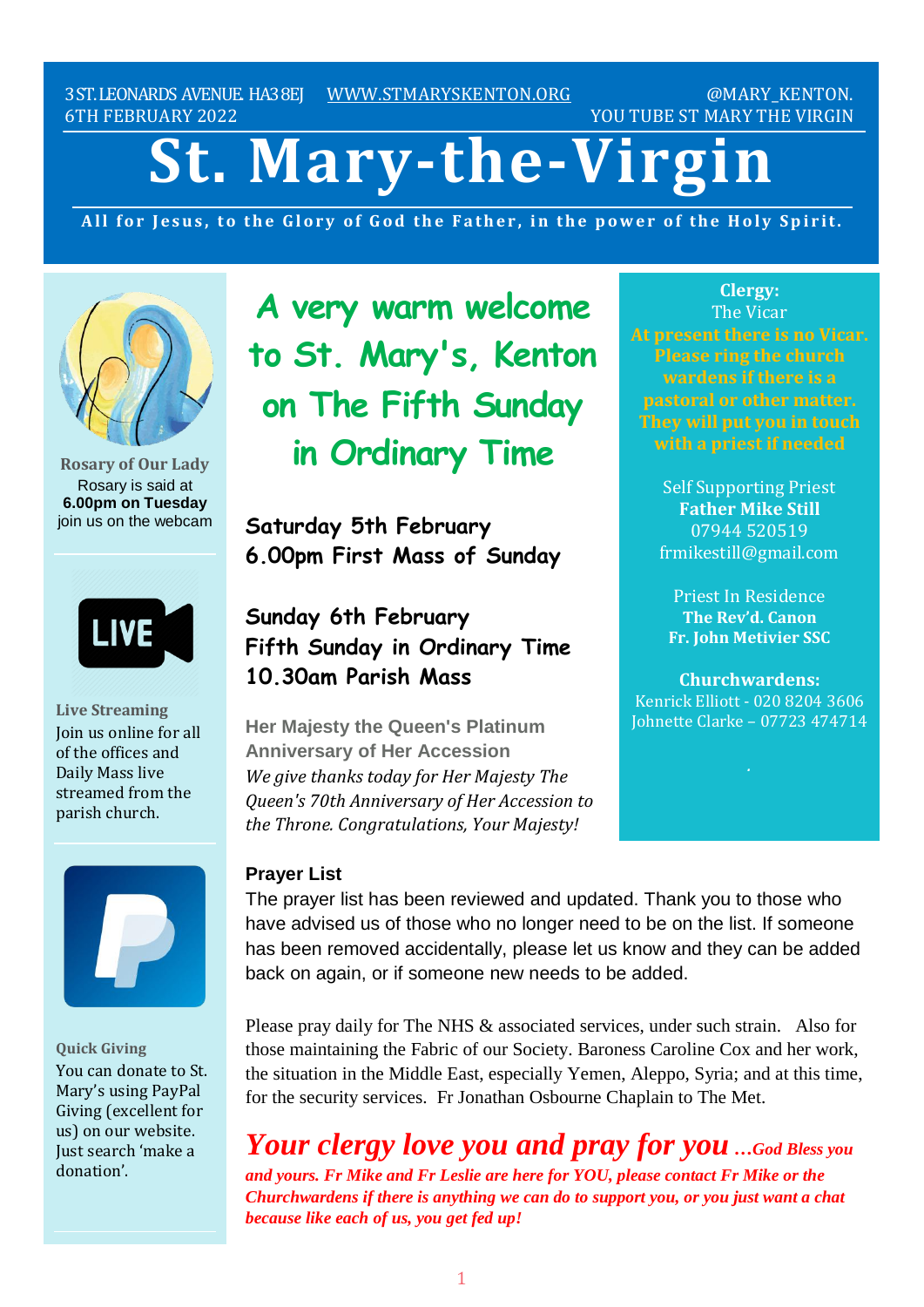3ST.LEONARDS AVENUE. HA38EJ [WWW.STMARYSKENTON.ORG](http://www.stmaryskenton.org/) @MARY\_KENTON. 6TH FEBRUARY 2022 YOU TUBE ST MARY THE VIRGIN

# **St. Mary-the-Virgin**

All for Jesus, to the Glory of God the Father, in the power of the Holy Spirit.



**Rosary of Our Lady** Rosary is said at **6.00pm on Tuesday** join us on the webcam



**Live Streaming** Join us online for all of the offices and Daily Mass live streamed from the parish church.



**Quick Giving** You can donate to St. Mary's using PayPal Giving (excellent for us) on our website. Just search 'make a donation'.

**A very warm welcome to St. Mary's, Kenton on The Fifth Sunday in Ordinary Time**

**Saturday 5th February 6.00pm First Mass of Sunday**

# **Sunday 6th February Fifth Sunday in Ordinary Time 10.30am Parish Mass**

**Her Majesty the Queen's Platinum Anniversary of Her Accession** *We give thanks today for Her Majesty The Queen's 70th Anniversary of Her Accession to the Throne. Congratulations, Your Majesty!*

**Clergy:** The Vicar **At present there is no Vicar. Please ring the church wardens if there is a pastoral or other matter. They will put you in touch**

> Self Supporting Priest **Father Mike Still** 07944 520519 frmikestill@gmail.com

Priest In Residence **The Rev'd. Canon Fr. John Metivier SSC**

**Churchwardens:** Kenrick Elliott - 020 8204 3606 Johnette Clarke – 07723 474714

**Prayer List**

The prayer list has been reviewed and updated. Thank you to those who have advised us of those who no longer need to be on the list. If someone has been removed accidentally, please let us know and they can be added back on again, or if someone new needs to be added.

Please pray daily for The NHS & associated services, under such strain. Also for those maintaining the Fabric of our Society. Baroness Caroline Cox and her work, the situation in the Middle East, especially Yemen, Aleppo, Syria; and at this time, for the security services. Fr Jonathan Osbourne Chaplain to The Met.

*Your clergy love you and pray for you …God Bless you and yours. Fr Mike and Fr Leslie are here for YOU, please contact Fr Mike or the Churchwardens if there is anything we can do to support you, or you just want a chat because like each of us, you get fed up!*